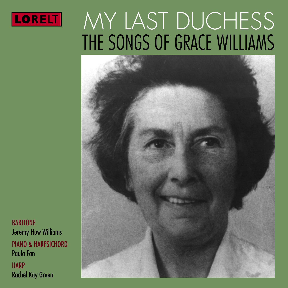

# MY LAST DUCHESS THE SONGS OF GRACE WILLIAMS



**BARITONE** Jeremy Huw Williams PIANO & HARPSICHORD Paula Fan **HARP** Rachel Kay Green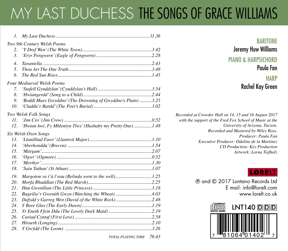## MY LAST DUCHESS THE SONGS OF GRACE WILLIAMS

| $l_{\perp}$      |                                                             |  |  |  |  |
|------------------|-------------------------------------------------------------|--|--|--|--|
|                  | Two 9th Century Welsh Poems                                 |  |  |  |  |
| 2.               |                                                             |  |  |  |  |
| 3.               |                                                             |  |  |  |  |
| $\overline{4}$ . |                                                             |  |  |  |  |
| 5.               |                                                             |  |  |  |  |
| 6.               |                                                             |  |  |  |  |
|                  | <b>Four Mediaeval Welsh Poems</b>                           |  |  |  |  |
| 7.               |                                                             |  |  |  |  |
| 8.               |                                                             |  |  |  |  |
| 9.               | 'Boddi Maes Gwyddno' (The Drowning of Gwyddno's Plain) 3.25 |  |  |  |  |
| 10.              |                                                             |  |  |  |  |
|                  | Two Welsh Folk Songs                                        |  |  |  |  |
| II.              |                                                             |  |  |  |  |
| 12.              | 'Hwian hwi, Fy Mhlentyn Tlws' (Hushaby my Pretty One)1.48   |  |  |  |  |
|                  | Six Welsh Oxen Songs                                        |  |  |  |  |
| 13.              |                                                             |  |  |  |  |
| 14.              |                                                             |  |  |  |  |
| 15.              |                                                             |  |  |  |  |
| 16.              |                                                             |  |  |  |  |
| 17.              |                                                             |  |  |  |  |
| 18.              |                                                             |  |  |  |  |
| 19.              |                                                             |  |  |  |  |
| 20.              |                                                             |  |  |  |  |
| 21.              |                                                             |  |  |  |  |
| 22.              | Bugeilio'r Gwenith Gwyn (Watching the Wheat) 4.03           |  |  |  |  |
| 23.              | Dafydd y Garreg Wen (David of the White Rock)2.48           |  |  |  |  |
| 24.              |                                                             |  |  |  |  |
| 25.              |                                                             |  |  |  |  |
| 26.              |                                                             |  |  |  |  |
| 27.              |                                                             |  |  |  |  |
| 28.              |                                                             |  |  |  |  |

*TOTAL PLAYING TIME 76.43*

#### **BARITONE** Jeremy Huw Williams PIANO & HARPSICHORD

#### Paula Fan

#### **HARP** Rachel Kay Green

*Recorded at Crowder Hall on 14, 15 and 16 August 2017 with the support of the Fred Fox School of Music at the University of Arizona, Tucson. Recorded and Mastered by Wiley Ross. Producer: Paula Fan Executive Producer: Odaline de la Martinez CD Production: Key Production Artwork: Lorna Tiefholz* 

#### LORELT

P and C 2017 Lontano Records Ltd E mail: info@lorelt.com www.lorelt.co.uk

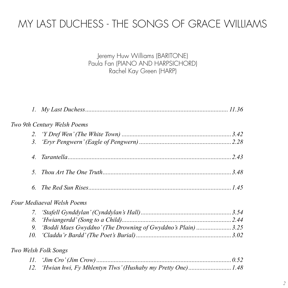### MY LAST DUCHESS - THE SONGS OF GRACE WILLIAMS

Jeremy Huw Williams (BARITONE) Paula Fan (PIANO AND HARPSICHORD) Rachel Kay Green (HARP)

|     | Two 9th Century Welsh Poems                                 |  |
|-----|-------------------------------------------------------------|--|
|     |                                                             |  |
|     |                                                             |  |
|     |                                                             |  |
| 5.  |                                                             |  |
| б.  |                                                             |  |
|     | Four Mediaeval Welsh Poems                                  |  |
|     |                                                             |  |
| 8.  |                                                             |  |
| 9.  | 'Boddi Maes Gwyddno' (The Drowning of Gwyddno's Plain) 3.25 |  |
| 10. |                                                             |  |
|     | Two Welsh Folk Songs                                        |  |
|     |                                                             |  |
| 12. | 'Hwian hwi, Fy Mhlentyn Tlws' (Hushaby my Pretty One)1.48   |  |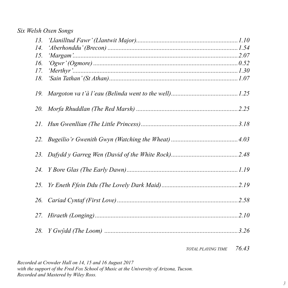#### *Six Welsh Oxen Songs*

| 13. |  |
|-----|--|
| 14. |  |
| 15. |  |
| 16. |  |
| 17. |  |
| 18. |  |
| 19. |  |
|     |  |
|     |  |
|     |  |
|     |  |
|     |  |
|     |  |
|     |  |
|     |  |
| 28. |  |
|     |  |

*TOTAL PLAYING TIME 76.43*

*Recorded at Crowder Hall on 14, 15 and 16 August 2017*  with the support of the Fred Fox School of Music at the University of Arizona, Tucson. *Recorded and Mastered by Wiley Ross.*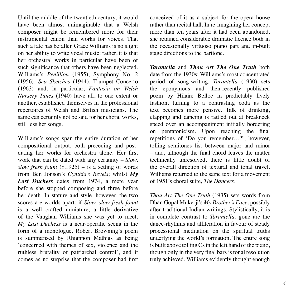Until the middle of the twentieth century, it would have been almost unimaginable that a Welsh composer might be remembered more for their instrumental canon than works for voices. That such a fate has befallen Grace Williams is no slight on her ability to write vocal music: rather, it is that her orchestral works in particular have been of such significance that others have been neglected. Williams's *Penillion* (1955), Symphony No. 2 (1956), *Sea Sketches* (1944), Trumpet Concerto (1963) and, in particular, *Fantasia on Welsh Nursery Tunes* (1940) have all, to one extent or another, established themselves in the professional repertoires of Welsh and British musicians. The same can certainly not be said for her choral works, still less her songs.

Williams's songs span the entire duration of her compositional output, both preceding and postdating her works for orchestra alone. Her first work that can be dated with any certainty – *Slow, slow fresh fount* (*c.*1925) – is a setting of words from Ben Jonson's *Cynthia's Revels*; whilst *My Last Duchess* dates from 1974, a mere year before she stopped composing and three before her death. In stature and style, however, the two scores are worlds apart: if *Slow, slow fresh fount* is a well crafted miniature, a little derivative of the Vaughan Williams she was yet to meet, *My Last Duchess* is a near-operatic scena in the form of a monologue. Robert Browning's poem is summarised by Rhiannon Mathias as being 'concerned with themes of sex, violence and the ruthless brutality of patriarchal control', and it comes as no surprise that the composer had first

conceived of it as a subject for the opera house rather than recital hall. In re-imagining her concept more than ten years after it had been abandoned, she retained considerable dramatic licence both in the occasionally virtuoso piano part and in-built stage directions to the baritone.

*Tarantella* and *Thou Art The One Truth* both date from the 1930s: Williams's most concentrated period of song-writing. *Tarantella* (1930) sets the eponymous and then-recently published poem by Hilaire Belloc in predictably lively fashion, turning to a contrasting coda as the text becomes more pensive. Talk of drinking, clapping and dancing is rattled out at breakneck speed over an accompaniment initially bordering on pentatonicism. Upon reaching the final repetitions of 'Do you remember…?', however, tolling semitones list between major and minor – and, although the final chord leaves the matter technically unresolved, there is little doubt of the overall direction of textural and tonal travel. Williams returned to the same text for a movement of 1951's choral suite, *The Dancers*.

*Thou Art The One Truth* (1935) sets words from Dhan Gopal Mukerji's *My Brother's Face*, possibly after traditional Indian writings. Stylistically, it is in complete contrast to *Tarantella*: gone are the dance-rhythms and alliteration in favour of steady processional meditation on the spiritual truths underlying the world's formation. The entire song is built above tolling Cs in the left hand of the piano, though only in the very final bars is tonal resolution truly achieved. Williams evidently thought enough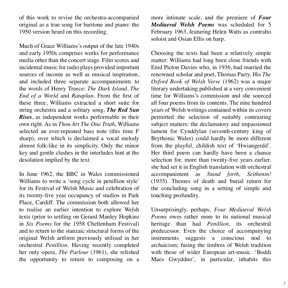of this work to revise the orchestra-accompanied original as a true song for baritone and piano: the 1950 version heard on this recording.

Much of Grace Williams's output of the late 1940s and early 1950s comprises works for performance media other than the concert stage. Film scores and incidental music for radio plays provided important sources of income as well as musical inspiration and included three separate accompaniments to the words of Henry Treece: *The Dark Island*, *The End of a World* and *Rataplan*. From the first of these three, Williams extracted a short suite for string orchestra and a solitary song, *The Red Sun Rises*, as independent works performable in their own right. As in *Thou Art The One Truth*, Williams selected an ever-repeated bass note (this time F sharp), over which is declaimed a vocal melody almost folk-like in its simplicity. Only the minor key and gentle clashes in the interludes hint at the desolation implied by the text.

In June 1962, the BBC in Wales commissioned Williams to write a 'song cycle in penillion style' for its Festival of Welsh Music and celebration of its twenty-five year occupancy of studios in Park Place, Cardiff. The commission both allowed her to realise an earlier intention to explore Welsh texts (prior to settling on Gerard Manley Hopkins in *Six Poems* for the 1958 Cheltenham Festival) and to return to the stanzaic structural forms of the original Welsh artform previously utilised in her orchestral *Penillion*. Having recently completed her only opera, *The Parlour* (1961), she relished the opportunity to return to composing on a

more intimate scale, and the premiere of *Four Mediaeval Welsh Poems* was scheduled for 5 February 1963, featuring Helen Watts as contralto soloist and Osian Ellis on harp.

Choosing the texts had been a relatively simple matter: Williams had long been close friends with Enid Picton Davies who, in 1936, had married the renowned scholar and poet, Thomas Parry. His *The Oxford Book of Welsh Verse* (1962) was a major literary undertaking published at a very convenient time for Williams's commission and she sourced all four poems from its contents. The nine hundred years of Welsh writings contained within its covers permitted the selection of suitably contrasting subject matters: the declamatory and impassioned lament for Cynddylan (seventh-century king of Brythonic Wales) could hardly be more different from the playful, childish text of 'Hwiangerdd'. Her third poem can hardly have been a chance selection for, more than twenty-five years earlier, she had set it in English translation with orchestral accompaniment as *Stand forth, Seithenin!* (1935). Themes of death and burial return for the concluding song in a setting of simple and touching profundity.

Unsurprisingly, perhaps, *Four Mediaeval Welsh Poems* owes rather more to its national musical heritage than had *Penillion*, its orchestral predecessor. Even the choice of accompanying instruments suggests a conscious nod to archaicism; fusing the timbres of Welsh tradition with those of wider European art-music. 'Boddi Maes Gwyddno', in particular, inhabits this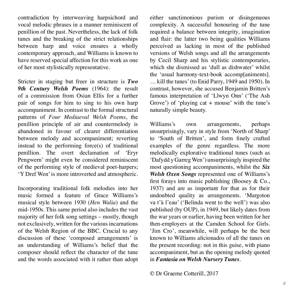contradiction by interweaving harpsichord and vocal melodic phrases in a manner reminiscent of penillion of the past. Nevertheless, the lack of folk tunes and the breaking of the strict relationships between harp and voice ensures a wholly contemporary approach, and Williams is known to have reserved special affection for this work as one of her most stylistically representative.

Stricter in staging but freer in structure is *Two 9th Century Welsh Poems* (1964): the result of a commission from Osian Ellis for a further pair of songs for him to sing to his own harp accompaniment. In contrast to the formal structural patterns of *Four Mediaeval Welsh Poems*, the penillion principle of air and countermelody is abandoned in favour of clearer differentiation between melody and accompaniment; reverting instead to the performing force(s) of traditional penillion. The overt declamation of 'Eryr Pengwern' might even be considered reminiscent of the performing style of medieval poet-harpers; 'Y Dref Wen' is more introverted and atmospheric.

Incorporating traditional folk melodies into her music formed a feature of Grace Williams's musical style between 1930 (*Hen Walia*) and the mid-1950s. This same period also includes the vast majority of her folk song settings – mostly, though not exclusively, written for the various incarnations of the Welsh Region of the BBC. Crucial to any discussion of these 'composed arrangements' is an understanding of Williams's belief that the composer should reflect the character of the tune and the words associated with it rather than adopt either sanctimonious purism or disingenuous complexity. A successful honouring of the tune required a balance between integrity, imagination and flair: the latter two being qualities Williams perceived as lacking in most of the published versions of Welsh songs and all the arrangements by Cecil Sharp and his stylistic contemporaries, which she dismissed as 'dull as dishwater' whilst the 'usual harmony-text-book accomp[animents]. … kill the tunes' (to Enid Parry, 1949 and 1950). In contrast, however, she accused Benjamin Britten's famous interpretation of 'Llwyn Onn' ('The Ash Grove') of 'playing cat  $+$  mouse' with the tune's naturally simple beauty.

Williams's own arrangements, perhaps unsurprisingly, vary in style from 'North of Sharp' to 'South of Britten', and form finely crafted examples of the genre regardless. The more melodically explorative traditional tunes (such as 'Dafydd y Garreg Wen') unsurprisingly inspired the most questioning accompaniments, whilst the *Six Welsh Oxen Songs* represented one of Williams's first forays into music publishing (Boosey & Co., 1937) and are as important for that as for their undoubted quality as arrangements. 'Margoton va t'à l'eau' ('Belinda went to the well') was also published (by OUP), in 1949, but likely dates from the war years or earlier, having been written for her then-employers at the Camden School for Girls. 'Jim Cro', meanwhile, will perhaps be the best known to Williams aficionados of all the tunes on the present recording: not in this guise, with piano accompaniment, but as the opening melody quoted in *Fantasia on Welsh Nursery Tunes*.

© Dr Graeme Cotterill, 2017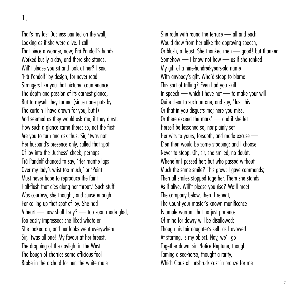That's my last Duchess painted on the wall, Looking as if she were alive. I call That piece a wonder, now: Frà Pandolf's hands Worked busily a day, and there she stands. Will't please you sit and look at her? I said 'Frà Pandolf' by design, for never read Strangers like you that pictured countenance, The depth and passion of its earnest glance. But to myself they turned (since none puts by The curtain I have drawn for you, but I) And seemed as they would ask me, if they durst, How such a glance came there; so, not the first Are you to turn and ask thus. Sir, 'twas not Her husband's presence only, called that spot Of joy into the Duchess' cheek: perhaps Frà Pandolf chanced to say, 'Her mantle laps Over my lady's wrist too much,' or 'Paint Must never hope to reproduce the faint Half-flush that dies along her throat.' Such stuff Was courtesy, she thought, and cause enough For calling up that spot of joy. She had A heart — how shall I say? — too soon made glad, Too easily impressed; she liked whate'er She looked on, and her looks went everywhere. Sir, 'twas all one! My favour at her breast, The dropping of the daylight in the West. The bough of cherries some officious fool Broke in the orchard for her, the white mule

She rode with round the terrace — all and each Would draw from her alike the approving speech, Or blush, at least. She thanked men — good! but thanked Somehow — I know not how — as if she ranked My gift of a nine-hundred-years-old name With anybody's aift. Who'd stoop to blame This sort of trifling? Even had you skill In speech — which I have not — to make your will Quite clear to such an one, and say, 'Just this Or that in you disgusts me; here you miss, Or there exceed the mark' — and if she let Herself be lessoned so, nor plainly set Her wits to yours, forsooth, and made excuse — E'en then would be some stooping; and I choose Never to stoop. Oh, sir, she smiled, no doubt, Whene'er I passed her; but who passed without Much the same smile? This grew; I gave commands; Then all smiles stopped together. There she stands As if alive. Will't please you rise? We'll meet The company below, then. I repeat The Count your master's known munificence Is ample warrant that no just pretence Of mine for dowry will be disallowed; Though his fair daughter's self, as I avowed At starting, is my object. Nay, we'll go Together down, sir. Notice Neptune, though, Taming a sea-horse, thought a rarity, Which Claus of Innshruck cast in bronze for mel

<sup>1.</sup>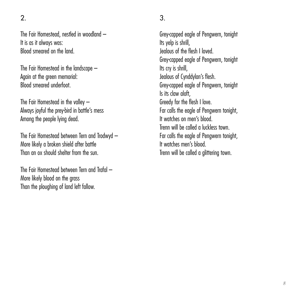$\mathcal{L}$ 

The Fair Homestead, nestled in woodland – It is as it always was: Blood smeared on the land.

The Fair Homestead in the landscape – Again at the green memorial: Blood smeared underfoot.

The Fair Homestead in the valley – Always joyful the prey-bird in battle's mess Among the people lying dead.

The Fair Homestead between Tern and Trodwyd – More likely a broken shield after battle Than an ox should shelter from the sun.

The Fair Homestead between Tern and Trafal – More likely blood on the grass Than the ploughing of land left fallow.

Grey-capped eagle of Pengwern, tonight Its yelp is shrill, Jealous of the flesh I loved. Grey-capped eagle of Pengwern, tonight Its cry is shrill, Jealous of Cynddylan's flesh. Grey-capped eagle of Pengwern, tonight Is its claw aloft, Greedy for the flesh I love. Far calls the eagle of Pengwern tonight, It watches on men's blood. Trenn will be called a luckless town. Far calls the eagle of Pengwern tonight, It watches men's blood. Trenn will be called a glittering town.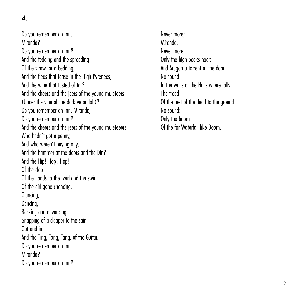Do you remember an Inn, Miranda? Do you remember an Inn? And the tedding and the spreading Of the straw for a bedding, And the fleas that tease in the High Pyrenees And the wine that tasted of tar? And the cheers and the jeers of the young muleteers (Under the vine of the dark verandah)? Do you remember an Inn, Miranda, Do you remember an Inn? And the cheers and the jeers of the young muleteeers Who hadn't got a penny. And who weren't paying any, And the hammer at the doors and the Din? And the Hip! Hop! Hap! Of the clap Of the hands to the twirl and the swirl Of the girl gone chancing, Glancina Dancing, Backing and advancing, Snapping of a clapper to the spin Out and in -- And the Ting, Tong, Tang, of the Guitar. Do you remember an Inn. Miranda? Do you remember an Inn?

Never more; Miranda, Never more Only the high peaks hoar: And Aragon a torrent at the door. No sound In the walls of the Halls where falls The tread Of the feet of the dead to the ground No sound: Only the boom Of the far Waterfall like Doom.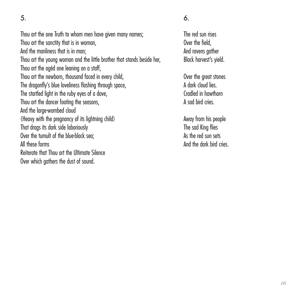Thou art the one Truth to whom men have given many names; Thou art the sanctity that is in woman, And the manliness that is in man; Thou art the young woman and the little brother that stands beside her, Thou art the agèd one leaning on a staff. Thou art the newborn, thousand faced in every child, The dragonfly's blue loveliness flashing through space, The startled light in the ruby eyes of a dove, Thou art the dancer footing the seasons And the large-wombed cloud (Heavy with the pregnancy of its lightning child) That drags its dark side laboriously Over the tumult of the blue-black sea; All these forms Reiterate that Thou art the Ultimate Silence Over which gathers the dust of sound.

6.

The red sun rises Over the field, And ravens aather Black harvest's yield.

Over the great stones A dark cloud lies. Cradled in hawthorn A sad bird cries.

Away from his people The sad King flies As the red sun sets And the dark bird cries.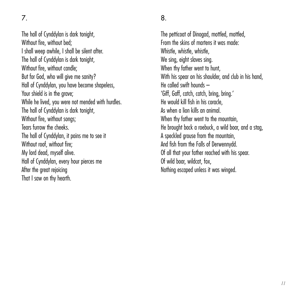The hall of Cynddylan is dark tonight, Without fire, without bed; I shall weep awhile, I shall be silent after. The hall of Cynddylan is dark tonight, Without fire, without candle; But for God, who will give me sanity? Hall of Cynddylan, you have become shapeless, Your shield is in the grave: While he lived, you were not mended with hurdles. The hall of Cynddylan is dark tonight, Without fire, without songs: Tears furrow the cheeks. The hall of Cynddylan, it pains me to see it Without roof, without fire: My lord dead, myself alive. Hall of Cynddylan, every hour pierces me After the great rejoicing That I saw on thy hearth.

#### 8.

The petticoat of Dinogad, mottled, mottled, From the skins of martens it was made: Whistle, whistle, whistle We sing, eight slaves sing. When thy father went to hunt, With his spear on his shoulder, and club in his hand He called swift hounds – 'Giff, Gaff, catch, catch, bring, bring.' He would kill fish in his coracle, As when a lion kills an animal. When thy father went to the mountain. He brought back a roebuck, a wild boar, and a stag, A speckled grouse from the mountain, And fish from the Falls of Derwennydd. Of all that your father reached with his spear. Of wild boar, wildcat, fox, Nothing escaped unless it was winged.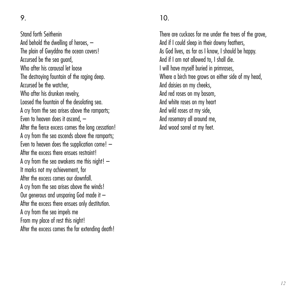Stand forth Seithenin And behold the dwelling of heroes, – The plain of Gwyddno the ocean covers! Accursed be the sea guard, Who after his carousal let loose The destroying fountain of the raging deep. Accursed be the watcher, Who after his drunken revelry, Loosed the fountain of the desolating sea. A cry from the sea arises above the ramparts; Even to heaven does it ascend, – After the fierce excess comes the long cessation! A cry from the sea ascends above the ramparts; Even to heaven does the supplication come! – After the excess there ensues restraint! A cry from the sea awakens me this night!  $-$ It marks not my achievement, for After the excess comes our downfall. A cry from the sea arises above the winds! Our generous and unsparing God made it – After the excess there ensues only destitution. A cry from the sea impels me From my place of rest this night! After the excess comes the far extending death!

There are cuckoos for me under the trees of the grove, And if I could sleep in their downy feathers, As God lives, as far as I know, I should be happy. And if I am not allowed to, I shall die. I will have myself buried in primroses, Where a birch tree grows on either side of my head And daisies on my cheeks, And red roses on my bosom, And white roses on my heart And wild roses at my side, And rosemary all around me, And wood sorrel at my feet.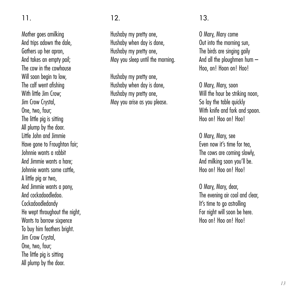Mother goes amilking And trips adown the dale, Gathers up her apron, And takes an empty pail; The cow in the cowhouse Will soon begin to low The calf went afishing With little Iim Crow; Jim Crow Crystal, One, two, four; The little pig is sitting All plump by the door. Little John and Jimmie Have gone to Froughton fair; Johnnie wants a rabbit And Jimmie wants a hare; Johnnie wants some cattle, A little pig or two, And Jimmie wants a pony, And cockadoodledoo. Cockadoodledandy He wept throughout the night, Wants to borrow sixpence To buy him feathers bright. Jim Crow Crystal, One, two, four; The little pig is sitting All plump by the door.

#### 12.

Hushaby my pretty one, Hushaby when day is done, Hushaby my pretty one, May you sleep until the morning.

Hushaby my pretty one, Hushaby when day is done, Hushaby my pretty one, May you arise as you please.

#### 13.

O Mary, Mary come Out into the morning sun, The birds are singing gaily And all the ploughmen hum – Hoo, on! Hoon on! Hoo!

O Mary, Mary, soon Will the hour be striking noon. So lay the table quickly With knife and fork and spoon. Hoo on! Hoo on! Hoo!

O Mary, Mary, see Even now it's time for tea, The cows are coming slowly, And milking soon you'll be. Hoo on! Hoo on! Hoo!

O Mary, Mary, dear, The evening air cool and clear, It's time to go astrolling For night will soon be here. Hoo on! Hoo on! Hoo!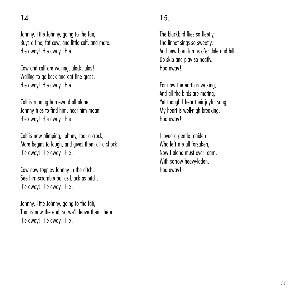Johnny, little Johnny, going to the fair, Buys a fine, fat cow, and little calf, and mare. Hie away! Hie away! Hie!

Cow and calf are wailing, alack, alas! Wailing to go back and eat fine grass. Hie away! Hie away! Hie!

Calf is running homeward all alone, Johnny tries to find him, hear him moan. Hie away! Hie away! Hie!

Calf is now alimping, Johnny, too, a crock, Mare begins to laugh, and gives them all a shock. Hie away! Hie away! Hie!

Cow now topples Johnny in the ditch, See him scramble out as black as pitch. Hie away! Hie away! Hie!

Johnny, little Johnny, going to the fair, That is now the end, so we'll leave them there. Hie away! Hie away! Hie!

#### 15.

The blackbird flies so fleetly. The linnet sings so sweetly, And new born lambs o'er dale and hill Do skip and play so neatly. Hoo away!

For now the earth is waking, And all the birds are mating, Yet though I hear their joyful song My heart is well-nigh breaking. Hoo away!

I loved a gentle maiden Who left me all forsaken, Now I alone must ever roam, With sorrow heavy-laden. Hoo away!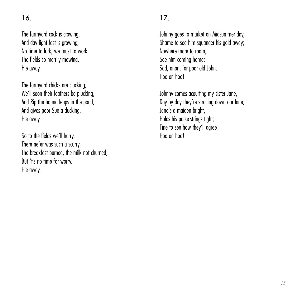The farmyard cock is crowing, And day light fast is growing; No time to lurk, we must to work, The fields so merrily mowing, Hie away!

The farmyard chicks are clucking, We'll soon their feathers be plucking. And Rip the hound leaps in the pond And gives poor Sue a ducking. Hie away!

So to the fields we'll hurry, There ne'er was such a scurry! The breakfast burned, the milk not churned, But 'tis no time for worry. Hie away!

#### 17.

Johnny goes to market on Midsummer day, Shame to see him sauander his gold away: Nowhere more to roam See him coming home; Sad, anon, for poor old John. Hoo on hoo!

Johnny comes acourting my sister Jane, Day by day they're strolling down our lane: Jane's a maiden bright, Holds his purse-strings tight; Fine to see how they'll agree! Hoo on hoo!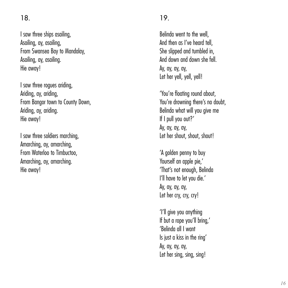I saw three ships asailing, Asailing, ay, asailing, From Swansea Bay to Mandalay, Asailing, ay, asailing. Hie away!

I saw three rogues ariding, Ariding, ay, ariding, From Bangor town to County Down, Ariding, ay, ariding. Hie away!

I saw three soldiers marching, Amarching, ay, amarching, From Waterloo to Timbuctoo, Amarching, ay, amarching. Hie away!

#### 19.

Belinda went to the well, And then as I've heard tell, She slipped and tumbled in And down and down she fell. Ay, ay, ay, ay, Let her yell, yell, yell!

'You're floating round about, You're drowning there's no doubt Belinda what will you give me If I pull you out?' Ay, ay, ay, ay, Let her shout, shout, shout!

'A golden penny to buy Yourself an apple pie.' 'That's not enough, Belinda I'll have to let you die.' Ay, ay, ay, ay, Let her cry, cry, cry!

'I'll give you anything If but a rope you'll bring 'Belinda all I want Is just a kiss in the ring' Ay, ay, ay, ay, Let her sing, sing, sing!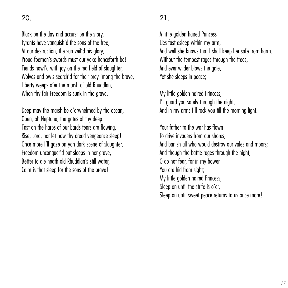$20<sub>2</sub>$ 

Black be the day and accurst be the story, Tyrants have vanquish'd the sons of the free, At our destruction, the sun veil'd his glory, Proud foemen's swords must our yoke henceforth be! Fiends howl'd with joy on the red field of slaughter. Wolves and owls search'd for their prey 'mong the brave Liberty weeps o'er the marsh of old Rhuddlan, When thy fair Freedom is sunk in the grave.

Deep may the marsh be o'erwhelmed by the ocean, Open, oh Neptune, the gates of thy deep: Fast on the harps of our bards tears are flowing, Rise, Lord, nor let now thy dread vengeance sleep! Once more I'll gaze on yon dark scene of slaughter, Freedom unconquer'd but sleeps in her grave, Better to die neath old Rhuddlan's still water, Calm is that sleep for the sons of the brave!

#### 21.

A little golden haired Princess Lies fast asleep within my arm, And well she knows that I shall keep her safe from harm. Without the tempest rages through the trees, And ever wilder blows the gale, Yet she sleeps in peace:

My little golden haired Princess, I'll guard you safely through the night And in my arms I'll rock you till the morning light.

Your father to the war has flown To drive invaders from our shores, And banish all who would destroy our vales and moors; And though the battle rages through the night, O do not fear, for in my bower You are hid from sight: My little golden haired Princess, Sleep on until the strife is o'er, Sleep on until sweet peace returns to us once more!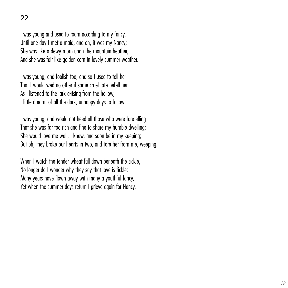I was young and used to roam according to my fancy, Until one day I met a maid, and oh, it was my Nancy; She was like a dewy morn upon the mountain heather And she was fair like golden corn in lovely summer weather.

I was young, and foolish too, and so I used to tell her That I would wed no other if some cruel fate befell her. As I listened to the lark a-rising from the hollow, I little dreamt of all the dark, unhappy days to follow.

I was young, and would not heed all those who were foretelling That she was far too rich and fine to share my humble dwelling; She would love me well, I knew, and soon be in my keeping; But oh, they broke our hearts in two, and tore her from me, weeping.

When I watch the tender wheat fall down beneath the sickle. No longer do I wonder why they say that love is fickle; Many years have flown away with many a youthful fancy, Yet when the summer days return I grieve again for Nancy.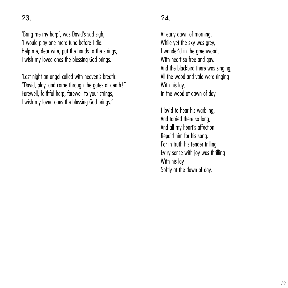'Bring me my harp', was David's sad sigh, 'I would play one more tune before I die. Help me, dear wife, put the hands to the strings, I wish my loved ones the blessing God brings.'

'Last night an angel called with heaven's breath: "David, play, and come through the gates of death!" Farewell, faithful harp, farewell to your strings, I wish my loved ones the blessing God brings.'

#### $24.$

At early dawn of morning, While yet the sky was grey. I wander'd in the greenwood, With heart so free and gay. And the blackbird there was singing, All the wood and vale were ringing With his lay, In the wood at dawn of day.

I lov'd to hear his warbling. And tarried there so long, And all my heart's affection Repaid him for his song. For in truth his tender trilling Ev'ry sense with joy was thrilling With his lay Softly at the dawn of day.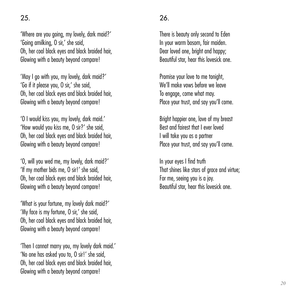'Where are you going, my lovely, dark maid?' 'Going amilking, O sir,' she said, Oh, her coal black eyes and black braided hair Glowing with a beauty beyond compare!

'May I go with you, my lovely, dark maid?' 'Go if it please you, O sir,' she said, Oh, her coal black eyes and black braided hair, Glowing with a beauty beyond compare!

'O I would kiss you, my lovely, dark maid.' 'How would you kiss me, O sir?' she said, Oh, her coal black eyes and black braided hair, Glowing with a beauty beyond compare!

'O, will you wed me, my lovely, dark maid?' 'If my mother bids me, O sir!' she said, Oh, her coal black eyes and black braided hair, Glowing with a beauty beyond compare!

'What is your fortune, my lovely dark maid?' 'My face is my fortune, O sir,' she said, Oh, her coal black eyes and black braided hair Glowing with a beauty beyond compare!

'Then I cannot marry you, my lovely dark maid.' 'No one has asked you to, O sir!' she said, Oh, her coal black eyes and black braided hair, Glowing with a beauty beyond compare!

#### 26.

There is beauty only second to Eden In your warm bosom, fair maiden. Dear loved one, bright and happy: Beautiful star, hear this lovesick one.

Promise your love to me tonight We'll make vows before we leave To engage, come what may. Place your trust, and say you'll come.

Bright happier one, love of my breast Best and fairest that I ever loved I will take you as a partner Place your trust, and say you'll come.

In your eyes I find truth That shines like stars of grace and virtue; For me, seeing you is a joy. Beautiful star, hear this lovesick one.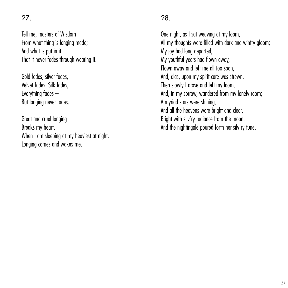Tell me, masters of Wisdom From what thing is longing made; And what is put in it That it never fades through wearing it.

Gold fades, silver fades, Velvet fades. Silk fades, Everything fades – But longing never fades.

Great and cruel longing Breaks my heart, When I am sleeping at my heaviest at night. Longing comes and wakes me.

#### 28.

One night, as I sat weaving at my loom, All my thoughts were filled with dark and wintry gloom: My joy had long departed, My youthful years had flown away, Flown away and left me all too soon, And, alas, upon my spirit care was strewn. Then slowly I arose and left my loom, And, in my sorrow, wandered from my lonely room; A myriad stars were shining, And all the heavens were bright and clear, Bright with silv'ry radiance from the moon. And the nightingale poured forth her silv'ry tune.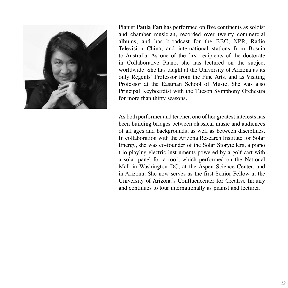

Pianist **Paula Fan** has performed on five continents as soloist and chamber musician, recorded over twenty commercial albums, and has broadcast for the BBC, NPR, Radio Television China, and international stations from Bosnia to Australia. As one of the first recipients of the doctorate in Collaborative Piano, she has lectured on the subject worldwide. She has taught at the University of Arizona as its only Regents' Professor from the Fine Arts, and as Visiting Professor at the Eastman School of Music. She was also Principal Keyboardist with the Tucson Symphony Orchestra for more than thirty seasons.

As both performer and teacher, one of her greatest interests has been building bridges between classical music and audiences of all ages and backgrounds, as well as between disciplines. In collaboration with the Arizona Research Institute for Solar Energy, she was co-founder of the Solar Storytellers, a piano trio playing electric instruments powered by a golf cart with a solar panel for a roof, which performed on the National Mall in Washington DC, at the Aspen Science Center, and in Arizona. She now serves as the first Senior Fellow at the University of Arizona's Confluencenter for Creative Inquiry and continues to tour internationally as pianist and lecturer.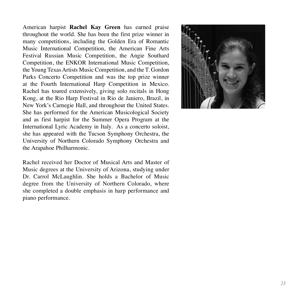American harpist **Rachel Kay Green** has earned praise throughout the world. She has been the first prize winner in many competitions, including the Golden Era of Romantic Music International Competition, the American Fine Arts Festival Russian Music Competition, the Angie Southard Competition, the ENKOR International Music Competition, the Young Texas Artists Music Competition, and the T. Gordon Parks Concerto Competition and was the top prize winner at the Fourth International Harp Competition in Mexico. Rachel has toured extensively, giving solo recitals in Hong Kong, at the Rio Harp Festival in Rio de Janiero, Brazil, in New York's Carnegie Hall, and throughout the United States. She has performed for the American Musicological Society and as first harpist for the Summer Opera Program at the International Lyric Academy in Italy. As a concerto soloist, she has appeared with the Tucson Symphony Orchestra, the University of Northern Colorado Symphony Orchestra and the Arapahoe Philharmonic.

Rachel received her Doctor of Musical Arts and Master of Music degrees at the University of Arizona, studying under Dr. Carrol McLaughlin. She holds a Bachelor of Music degree from the University of Northern Colorado, where she completed a double emphasis in harp performance and piano performance.